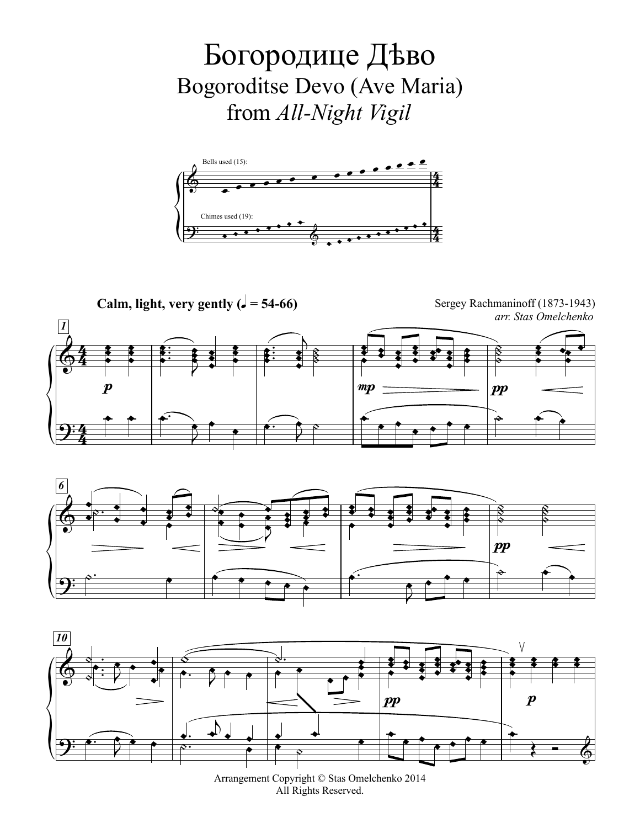Богородице Дево Bogoroditse Devo (Ave Maria) from All-Night Vigil



Calm, light, very gently ( $\sqrt{ }$  = 54-66)

Sergey Rachmaninoff (1873-1943) arr. Stas Omelchenko







Arrangement Copyright © Stas Omelchenko 2014 All Rights Reserved.